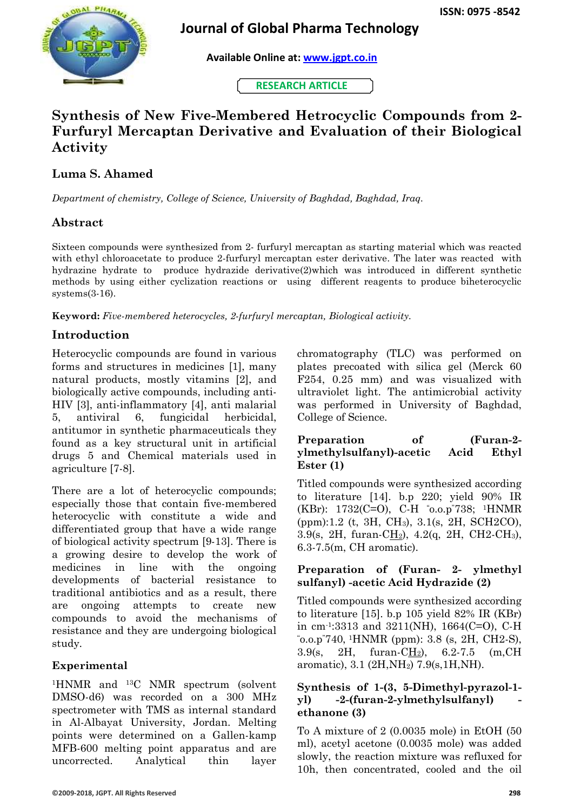

# **Journal of Global Pharma Technology**

 **Available Online at: [www.jgpt.co.in](http://www.jgpt.co.in/)**

 **RESEARCH ARTICLE**

# **Synthesis of New Five-Membered Hetrocyclic Compounds from 2- Furfuryl Mercaptan Derivative and Evaluation of their Biological Activity**

# **Luma S. Ahamed**

*Department of chemistry, College of Science, University of Baghdad, Baghdad, Iraq.*

# **Abstract**

Sixteen compounds were synthesized from 2- furfuryl mercaptan as starting material which was reacted with ethyl chloroacetate to produce 2-furfuryl mercaptan ester derivative. The later was reacted with hydrazine hydrate to produce hydrazide derivative(2)which was introduced in different synthetic methods by using either cyclization reactions or using different reagents to produce biheterocyclic systems(3-16).

**Keyword:** *Five-membered heterocycles, 2-furfuryl mercaptan, Biological activity.*

## **Introduction**

Heterocyclic compounds are found in various forms and structures in medicines [1], many natural products, mostly vitamins [2], and biologically active compounds, including anti-HIV [3], anti-inflammatory [4], anti malarial 5, antiviral 6, fungicidal herbicidal, antitumor in synthetic pharmaceuticals they found as a key structural unit in artificial drugs 5 and Chemical materials used in agriculture [7-8].

There are a lot of heterocyclic compounds; especially those that contain five-membered heterocyclic with constitute a wide and differentiated group that have a wide range of biological activity spectrum [9-13]. There is a growing desire to develop the work of medicines in line with the ongoing developments of bacterial resistance to traditional antibiotics and as a result, there are ongoing attempts to create new compounds to avoid the mechanisms of resistance and they are undergoing biological study.

### **Experimental**

<sup>1</sup>HNMR and 13C NMR spectrum (solvent DMSO-d6) was recorded on a 300 MHz spectrometer with TMS as internal standard in Al-Albayat University, Jordan. Melting points were determined on a Gallen-kamp MFB-600 melting point apparatus and are uncorrected. Analytical thin layer chromatography (TLC) was performed on plates precoated with silica gel (Merck 60 F254, 0.25 mm) and was visualized with ultraviolet light. The antimicrobial activity was performed in University of Baghdad, College of Science.

#### **Preparation of (Furan-2 ylmethylsulfanyl)-acetic Acid Ethyl Ester (1)**

Titled compounds were synthesized according to literature [14]. b.p 220; yield 90% IR (KBr): 1732(C=O), C-H "o.o.p"738; 1HNMR (ppm):1.2 (t, 3H, CH3), 3.1(s, 2H, SCH2CO), 3.9(s, 2H, furan-CH2), 4.2(q, 2H, CH2-CH3), 6.3-7.5(m, CH aromatic).

### **Preparation of (Furan- 2- ylmethyl sulfanyl) -acetic Acid Hydrazide (2)**

Titled compounds were synthesized according to literature [15]. b.p 105 yield 82% IR (KBr) in cm-1 :3313 and 3211(NH), 1664(C=O), C-H "o.o.p"740, <sup>1</sup>HNMR (ppm): 3.8 (s, 2H, CH2-S), 3.9(s, 2H, furan-CH2), 6.2-7.5 (m,CH aromatic), 3.1 (2H,NH2) 7.9(s,1H,NH).

#### **Synthesis of 1-(3, 5-Dimethyl-pyrazol-1 yl) -2-(furan-2-ylmethylsulfanyl) ethanone (3)**

To A mixture of 2 (0.0035 mole) in EtOH (50 ml), acetyl acetone (0.0035 mole) was added slowly, the reaction mixture was refluxed for 10h, then concentrated, cooled and the oil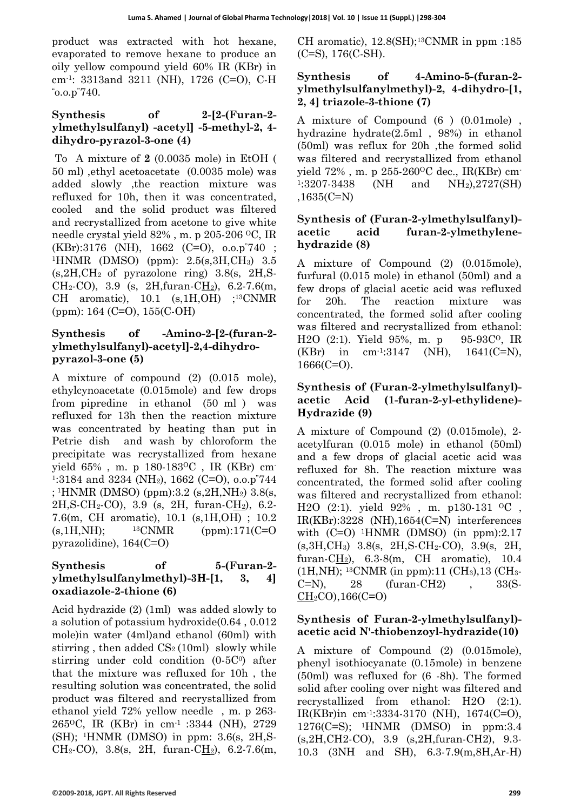product was extracted with hot hexane, evaporated to remove hexane to produce an oily yellow compound yield 60% IR (KBr) in cm-1 : 3313and 3211 (NH), 1726 (C=O), C-H "o.o.p"740.

#### **Synthesis of 2-[2-(Furan-2 ylmethylsulfanyl) -acetyl] -5-methyl-2, 4 dihydro-pyrazol-3-one (4)**

To A mixture of **2** (0.0035 mole) in EtOH ( 50 ml) ,ethyl acetoacetate (0.0035 mole) was added slowly ,the reaction mixture was refluxed for 10h, then it was concentrated, cooled and the solid product was filtered and recrystallized from acetone to give white needle crystal yield 82% , m. p 205-206 OC, IR (KBr):3176 (NH), 1662 (C=O), o.o.p"740 ; <sup>1</sup>HNMR (DMSO) (ppm): 2.5(s,3H,CH3) 3.5  $(s, 2H, CH<sub>2</sub>$  of pyrazolone ring) 3.8 $(s, 2H, S<sub>1</sub>)$ CH<sub>2</sub>-CO), 3.9 (s, 2H, furan-C<u>H<sub>2</sub></u>), 6.2-7.6(m, CH aromatic), 10.1 (s,1H,OH) ; <sup>13</sup>CNMR (ppm): 164 (C=O), 155(C-OH)

### **Synthesis of -Amino-2-[2-(furan-2 ylmethylsulfanyl)-acetyl]-2,4-dihydropyrazol-3-one (5)**

A mixture of compound (2) (0.015 mole), ethylcynoacetate (0.015mole) and few drops from pipredine in ethanol (50 ml ) was refluxed for 13h then the reaction mixture was concentrated by heating than put in Petrie dish and wash by chloroform the precipitate was recrystallized from hexane yield 65% , m. p 180-183OC , IR (KBr) cm-1 :3184 and 3234 (NH2), 1662 (C=O), o.o.p"744 ; <sup>1</sup>HNMR (DMSO) (ppm):3.2 (s,2H,NH2) 3.8(s,  $2H, S\text{-CH}_2\text{-CO}$ , 3.9 (s, 2H, furan- $C\underline{H}_2$ ), 6.2-7.6(m, CH aromatic), 10.1 (s,1H,OH) ; 10.2  $(s, 1H, NH);$  13CNMR (ppm):171(C=O) pyrazolidine), 164(C=O)

#### **Synthesis of 5-(Furan-2 ylmethylsulfanylmethyl)-3H-[1, 3, 4] oxadiazole-2-thione (6)**

Acid hydrazide (2) (1ml) was added slowly to a solution of potassium hydroxide(0.64 , 0.012 mole)in water (4ml)and ethanol (60ml) with stirring, then added  $CS<sub>2</sub>(10ml)$  slowly while stirring under cold condition (0-5C<sup>0</sup>) after that the mixture was refluxed for 10h , the resulting solution was concentrated, the solid product was filtered and recrystallized from ethanol yield 72% yellow needle , m. p 263- 265OC, IR (KBr) in cm-1 :3344 (NH), 2729  $(SH)$ ; <sup>1</sup>HNMR (DMSO) in ppm: 3.6(s, 2H,S-CH<sub>2</sub>-CO), 3.8(s, 2H, furan-C<u>H<sub>2</sub></u>), 6.2-7.6(m,

CH aromatic),  $12.8(SH);^{13}CNMR$  in ppm :185 (C=S), 176(C-SH).

#### **Synthesis of 4-Amino-5-(furan-2 ylmethylsulfanylmethyl)-2, 4-dihydro-[1, 2, 4] triazole-3-thione (7)**

A mixture of Compound (6 ) (0.01mole) , hydrazine hydrate(2.5ml , 98%) in ethanol (50ml) was reflux for 20h ,the formed solid was filtered and recrystallized from ethanol yield 72%, m. p 255-260<sup>o</sup>C dec., IR(KBr) cm<sup>-</sup> 1:3207-3438  $(NH \quad and \quad NH_2)$ ,  $2727(SH)$ ,1635(C=N)

#### **Synthesis of (Furan-2-ylmethylsulfanyl) acetic acid furan-2-ylmethylenehydrazide (8)**

A mixture of Compound (2) (0.015mole), furfural (0.015 mole) in ethanol (50ml) and a few drops of glacial acetic acid was refluxed for 20h. The reaction mixture was concentrated, the formed solid after cooling was filtered and recrystallized from ethanol: H2O  $(2:1)$ . Yield 95%, m. p 95-93C<sup>o</sup>, IR  $(KBr)$  in  $cm^{-1}:3147$  $(NH)$ , 1641(C=N), 1666(C=O).

#### **Synthesis of (Furan-2-ylmethylsulfanyl) acetic Acid (1-furan-2-yl-ethylidene)- Hydrazide (9)**

A mixture of Compound (2) (0.015mole), 2 acetylfuran (0.015 mole) in ethanol (50ml) and a few drops of glacial acetic acid was refluxed for 8h. The reaction mixture was concentrated, the formed solid after cooling was filtered and recrystallized from ethanol: H2O (2:1). yield 92%, m. p130-131 <sup>o</sup>C, IR(KBr):3228 (NH),1654(C=N) interferences with  $(C=O)$  <sup>1</sup>HNMR (DMSO) (in ppm):2.17 (s,3H,CH3) 3.8(s, 2H,S-CH2-CO), 3.9(s, 2H, furan-CH2), 6.3-8(m, CH aromatic), 10.4  $(1H,NH);$  <sup>13</sup>CNMR (in ppm):11 (CH<sub>3</sub>),13 (CH<sub>3</sub>- $C=N$ , 28 (furan-CH2), 33(S- $CH<sub>2</sub>CO$ ), 166(C=O)

#### **Synthesis of Furan-2-ylmethylsulfanyl) acetic acid N'-thiobenzoyl-hydrazide(10)**

A mixture of Compound (2) (0.015mole), phenyl isothiocyanate (0.15mole) in benzene (50ml) was refluxed for (6 -8h). The formed solid after cooling over night was filtered and recrystallized from ethanol: H2O (2:1). IR(KBr)in cm-1 :3334-3170 (NH), 1674(C=O), 1276(C=S); <sup>1</sup>HNMR (DMSO) in ppm:3.4 (s,2H,CH2-CO), 3.9 (s,2H,furan-CH2), 9.3- 10.3 (3NH and SH), 6.3-7.9(m,8H,Ar-H)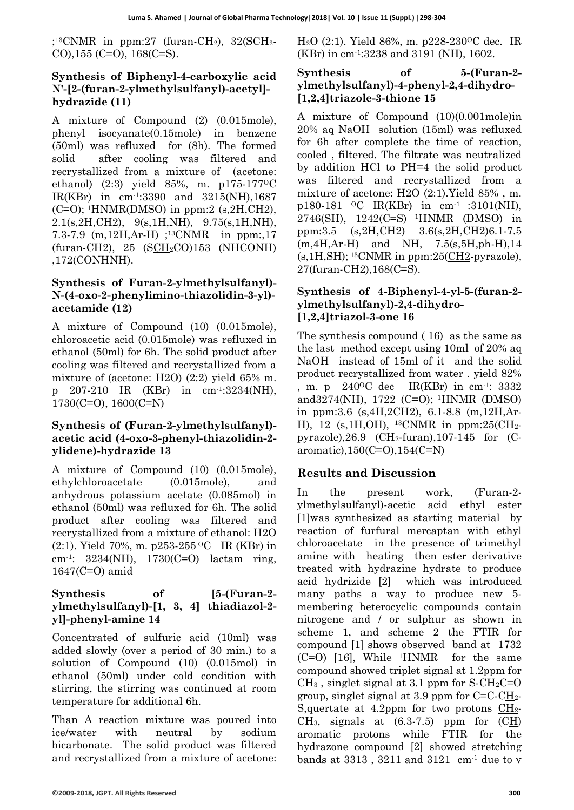$;$ <sup>13</sup>CNMR in ppm:27 (furan-CH<sub>2</sub>), 32(SCH<sub>2</sub>-CO),155 (C=O), 168(C=S).

### **Synthesis of Biphenyl-4-carboxylic acid N'-[2-(furan-2-ylmethylsulfanyl)-acetyl] hydrazide (11)**

A mixture of Compound (2) (0.015mole), phenyl isocyanate(0.15mole) in benzene (50ml) was refluxed for (8h). The formed solid after cooling was filtered and recrystallized from a mixture of (acetone: ethanol) (2:3) yield 85%, m. p175-177<sup>o</sup>C IR(KBr) in cm-1 :3390 and 3215(NH),1687  $(C=O)$ ; <sup>1</sup>HNMR(DMSO) in ppm:2 (s, 2H, CH2), 2.1(s,2H,CH2), 9(s,1H,NH), 9.75(s,1H,NH), 7.3-7.9 (m,12H,Ar-H) ;13CNMR in ppm:,17 (furan-CH2), 25 (SCH2CO)153 (NHCONH) ,172(CONHNH).

#### **Synthesis of Furan-2-ylmethylsulfanyl)- N-(4-oxo-2-phenylimino-thiazolidin-3-yl) acetamide (12)**

A mixture of Compound (10) (0.015mole), chloroacetic acid (0.015mole) was refluxed in ethanol (50ml) for 6h. The solid product after cooling was filtered and recrystallized from a mixture of (acetone: H2O) (2:2) yield 65% m. p 207-210 IR (KBr) in cm-1 :3234(NH), 1730(C=O), 1600(C=N)

#### **Synthesis of (Furan-2-ylmethylsulfanyl) acetic acid (4-oxo-3-phenyl-thiazolidin-2 ylidene)-hydrazide 13**

A mixture of Compound (10) (0.015mole), ethylchloroacetate (0.015mole), and anhydrous potassium acetate (0.085mol) in ethanol (50ml) was refluxed for 6h. The solid product after cooling was filtered and recrystallized from a mixture of ethanol: H2O (2:1). Yield 70%, m. p253-255 <sup>O</sup>C IR (KBr) in cm-1 : 3234(NH), 1730(C=O) lactam ring, 1647(C=O) amid

### Synthesis of [5-(Furan-2**ylmethylsulfanyl)-[1, 3, 4] thiadiazol-2 yl]-phenyl-amine 14**

Concentrated of sulfuric acid (10ml) was added slowly (over a period of 30 min.) to a solution of Compound (10) (0.015mol) in ethanol (50ml) under cold condition with stirring, the stirring was continued at room temperature for additional 6h.

Than A reaction mixture was poured into ice/water with neutral by sodium bicarbonate. The solid product was filtered and recrystallized from a mixture of acetone:

H<sub>2</sub>O (2:1). Yield 86%, m. p228-230<sup>o</sup>C dec. IR (KBr) in cm-1 :3238 and 3191 (NH), 1602.

#### **Synthesis of 5-(Furan-2 ylmethylsulfanyl)-4-phenyl-2,4-dihydro- [1,2,4]triazole-3-thione 15**

A mixture of Compound (10)(0.001mole)in 20% aq NaOH solution (15ml) was refluxed for 6h after complete the time of reaction, cooled , filtered. The filtrate was neutralized by addition HCl to PH=4 the solid product was filtered and recrystallized from a mixture of acetone: H2O (2:1).Yield 85% , m. p180-181 OC IR(KBr) in cm-1 :3101(NH), 2746(SH), 1242(C=S) <sup>1</sup>HNMR (DMSO) in ppm:3.5 (s,2H,CH2) 3.6(s,2H,CH2)6.1-7.5 (m,4H,Ar-H) and NH, 7.5(s,5H,ph-H),14  $(s, 1H, SH);$  13CNMR in ppm:25( $CH2$ -pyrazole), 27(furan-CH2),168(C=S).

#### **Synthesis of 4-Biphenyl-4-yl-5-(furan-2 ylmethylsulfanyl)-2,4-dihydro- [1,2,4]triazol-3-one 16**

The synthesis compound ( 16) as the same as the last method except using 10ml of 20% aq NaOH instead of 15ml of it and the solid product recrystallized from water . yield 82% , m. p 240<sup>o</sup>C dec IR(KBr) in cm<sup>-1</sup>: 3332 and3274(NH), 1722 (C=O); <sup>1</sup>HNMR (DMSO) in ppm:3.6 (s,4H,2CH2), 6.1-8.8 (m,12H,Ar-H), 12 (s, 1H, OH), <sup>13</sup>CNMR in ppm:25(CH<sub>2</sub>pyrazole),  $26.9$  (CH<sub>2</sub>-furan),  $107-145$  for (Caromatic),150(C=O),154(C=N)

## **Results and Discussion**

In the present work, (Furan-2 ylmethylsulfanyl)-acetic acid ethyl ester [1]was synthesized as starting material by reaction of furfural mercaptan with ethyl chloroacetate in the presence of trimethyl amine with heating then ester derivative treated with hydrazine hydrate to produce acid hydrizide [2] which was introduced many paths a way to produce new 5 membering heterocyclic compounds contain nitrogene and / or sulphur as shown in scheme 1, and scheme 2 the FTIR for compound [1] shows observed band at 1732  $(C=O)$  [16], While <sup>1</sup>HNMR for the same compound showed triplet signal at 1.2ppm for  $CH_3$ , singlet signal at 3.1 ppm for S-CH<sub>2</sub>C=O group, singlet signal at 3.9 ppm for C=C-CH2- S,quertate at 4.2ppm for two protons CH2- CH<sub>3</sub>, signals at  $(6.3-7.5)$  ppm for  $(CH)$ aromatic protons while FTIR for the hydrazone compound [2] showed stretching bands at 3313 , 3211 and 3121 cm-1 due to ν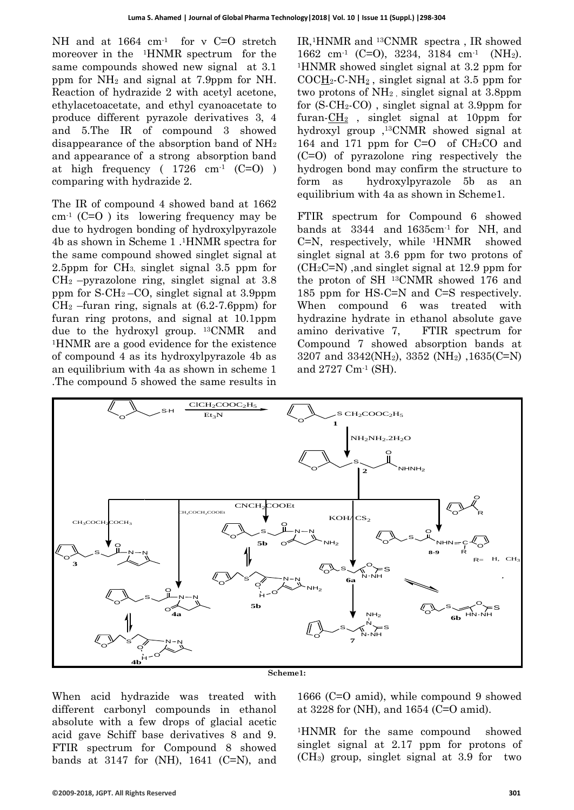NH and at 1664 cm<sup>-1</sup> for v C=O stretch moreover in the 1HNMR spectrum for the same compounds showed new signal at 3.1 ppm for  $NH_2$  and signal at 7.9ppm for NH. Reaction of hydrazide 2 with acetyl acetone, ethylacetoacetate, and ethyl cyanoacetate to produce different pyrazole derivatives 3, 4 and 5.The IR of compound 3 showed disappearance of the absorption band of NH<sup>2</sup> and appearance of a strong absorption band at high frequency ( $1726 \text{ cm}^{-1}$  (C=O)) comparing with hydrazide 2.

The IR of compound 4 showed band at 1662 cm-1 (C=O ) its lowering frequency may be due to hydrogen bonding of hydroxylpyrazole 4b as shown in Scheme 1 .1HNMR spectra for the same compound showed singlet signal at 2.5ppm for CH3, singlet signal 3.5 ppm for  $CH<sub>2</sub>$  –pyrazolone ring, singlet signal at 3.8 ppm for S-CH2 –CO, singlet signal at 3.9ppm  $CH<sub>2</sub>$  –furan ring, signals at (6.2-7.6ppm) for furan ring protons, and signal at 10.1ppm due to the hydroxyl group. <sup>13</sup>CNMR and <sup>1</sup>HNMR are a good evidence for the existence of compound 4 as its hydroxylpyrazole 4b as an equilibrium with 4a as shown in scheme 1 .The compound 5 showed the same results in

IR,1HNMR and 13CNMR spectra , IR showed 1662 cm-1 (C=O), 3234, 3184 cm-1 (NH2). <sup>1</sup>HNMR showed singlet signal at 3.2 ppm for  $COCH<sub>2</sub>-C-NH<sub>2</sub>$ , singlet signal at 3.5 ppm for two protons of NH2 , singlet signal at 3.8ppm for (S-CH2-CO) , singlet signal at 3.9ppm for furan-CH<sup>2</sup> , singlet signal at 10ppm for hydroxyl group ,13CNMR showed signal at 164 and 171 ppm for  $C=O$  of  $CH<sub>2</sub>CO$  and (C=O) of pyrazolone ring respectively the hydrogen bond may confirm the structure to form as hydroxylpyrazole 5b as an equilibrium with 4a as shown in Scheme1.

FTIR spectrum for Compound 6 showed bands at 3344 and 1635cm-1 for NH, and  $C=N$ , respectively, while <sup>1</sup>HNMR showed singlet signal at 3.6 ppm for two protons of  $(CH<sub>2</sub>C=N)$ , and singlet signal at 12.9 ppm for the proton of SH <sup>13</sup>CNMR showed 176 and 185 ppm for HS-C=N and C=S respectively. When compound 6 was treated with hydrazine hydrate in ethanol absolute gave amino derivative 7, FTIR spectrum for Compound 7 showed absorption bands at 3207 and 3342(NH2), 3352 (NH2) ,1635(C=N) and 2727 Cm-1 (SH).



**Scheme1:**

When acid hydrazide was treated with different carbonyl compounds in ethanol absolute with a few drops of glacial acetic acid gave Schiff base derivatives 8 and 9. FTIR spectrum for Compound 8 showed bands at 3147 for  $(NH)$ , 1641  $(C=N)$ , and

1666 (C=O amid), while compound 9 showed at 3228 for (NH), and 1654 (C=O amid).

<sup>1</sup>HNMR for the same compound showed singlet signal at 2.17 ppm for protons of (CH3) group, singlet signal at 3.9 for two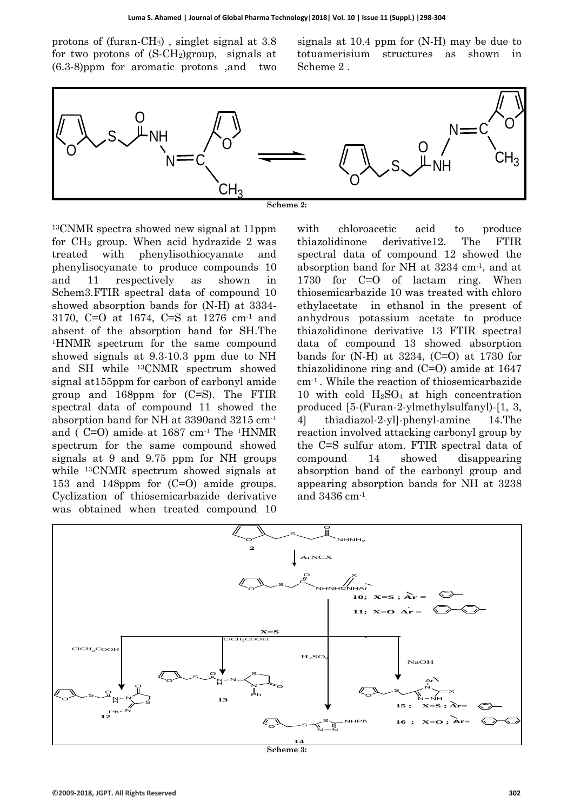protons of (furan-CH2) , singlet signal at 3.8 for two protons of  $(S\text{-}CH_2)$ group, signals at (6.3-8)ppm for aromatic protons ,and two signals at 10.4 ppm for (N-H) may be due to totuamerisium structures as shown in Scheme 2 .



<sup>13</sup>CNMR spectra showed new signal at 11ppm for CH<sup>3</sup> group. When acid hydrazide 2 was treated with phenylisothiocyanate and phenylisocyanate to produce compounds 10 and 11 respectively as shown in Schem3.FTIR spectral data of compound 10 showed absorption bands for (N-H) at 3334- 3170, C=O at 1674, C=S at 1276 cm-1 and absent of the absorption band for SH.The <sup>1</sup>HNMR spectrum for the same compound showed signals at 9.3-10.3 ppm due to NH and SH while 13CNMR spectrum showed signal at155ppm for carbon of carbonyl amide group and 168ppm for (C=S). The FTIR spectral data of compound 11 showed the absorption band for NH at 3390and 3215 cm-1 and (  $C=O$ ) amide at 1687 cm<sup>-1</sup> The <sup>1</sup>HNMR spectrum for the same compound showed signals at 9 and 9.75 ppm for NH groups while 13CNMR spectrum showed signals at 153 and 148ppm for (C=O) amide groups. Cyclization of thiosemicarbazide derivative was obtained when treated compound 10

with chloroacetic acid to produce thiazolidinone derivative12. The FTIR spectral data of compound 12 showed the absorption band for NH at 3234 cm-1 , and at 1730 for C=O of lactam ring. When thiosemicarbazide 10 was treated with chloro ethylacetate in ethanol in the present of anhydrous potassium acetate to produce thiazolidinone derivative 13 FTIR spectral data of compound 13 showed absorption bands for  $(N-H)$  at 3234,  $(C=O)$  at 1730 for thiazolidinone ring and (C=O) amide at 1647 cm-1 . While the reaction of thiosemicarbazide 10 with cold  $H_2SO_4$  at high concentration produced [5-(Furan-2-ylmethylsulfanyl)-[1, 3, 4] thiadiazol-2-yl]-phenyl-amine 14.The reaction involved attacking carbonyl group by the C=S sulfur atom. FTIR spectral data of compound 14 showed disappearing absorption band of the carbonyl group and appearing absorption bands for NH at 3238 and 3436 cm-1 .



**Scheme 3:**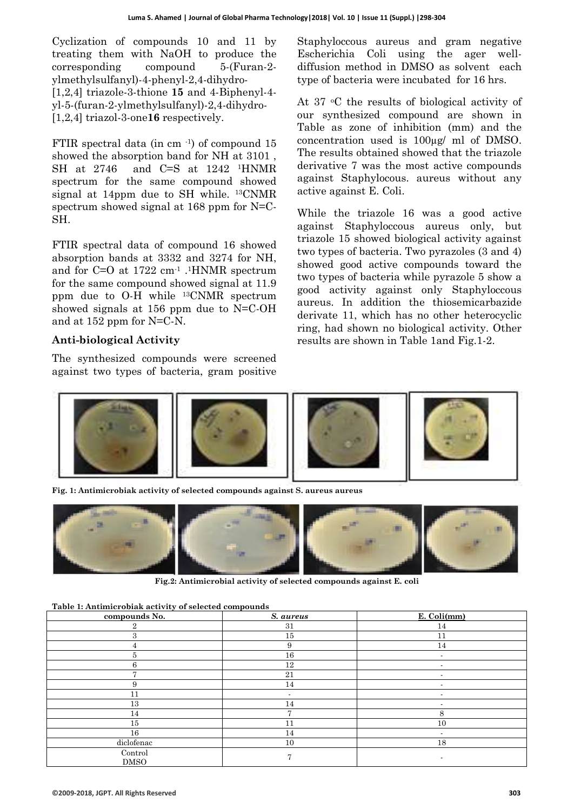Cyclization of compounds 10 and 11 by treating them with NaOH to produce the corresponding compound 5-(Furan-2 ylmethylsulfanyl)-4-phenyl-2,4-dihydro- [1,2,4] triazole-3-thione **15** and 4-Biphenyl-4 yl-5-(furan-2-ylmethylsulfanyl)-2,4-dihydro- [1,2,4] triazol-3-one**16** respectively.

FTIR spectral data (in cm $^{-1}$ ) of compound 15 showed the absorption band for NH at 3101 , SH at 2746 and C=S at 1242 <sup>1</sup>HNMR spectrum for the same compound showed signal at 14ppm due to SH while. <sup>13</sup>CNMR spectrum showed signal at 168 ppm for N=C-SH.

FTIR spectral data of compound 16 showed absorption bands at 3332 and 3274 for NH, and for C=O at 1722 cm-1 . <sup>1</sup>HNMR spectrum for the same compound showed signal at 11.9 ppm due to O-H while 13CNMR spectrum showed signals at 156 ppm due to N=C-OH and at 152 ppm for N=C-N.

#### **Anti-biological Activity**

The synthesized compounds were screened against two types of bacteria, gram positive Staphyloccous aureus and gram negative Escherichia Coli using the ager welldiffusion method in DMSO as solvent each type of bacteria were incubated for 16 hrs.

At 37 oC the results of biological activity of our synthesized compound are shown in Table as zone of inhibition (mm) and the concentration used is 100µg/ ml of DMSO. The results obtained showed that the triazole derivative 7 was the most active compounds against Staphylocous. aureus without any active against E. Coli.

While the triazole 16 was a good active against Staphyloccous aureus only, but triazole 15 showed biological activity against two types of bacteria. Two pyrazoles (3 and 4) showed good active compounds toward the two types of bacteria while pyrazole 5 show a good activity against only Staphyloccous aureus. In addition the thiosemicarbazide derivate 11, which has no other heterocyclic ring, had shown no biological activity. Other results are shown in Table 1and Fig.1-2.



**Fig. 1: Antimicrobiak activity of selected compounds against S. aureus aureus**



**Fig.2: Antimicrobial activity of selected compounds against E. coli**

| Table 1: Antimicrobiak activity of selected compounds |
|-------------------------------------------------------|
|-------------------------------------------------------|

| compounds No.          | S. aureus      | E. Coli(mm)              |
|------------------------|----------------|--------------------------|
| 2                      | 31             | 14                       |
|                        | 15             |                          |
|                        | 9              | 14                       |
|                        | 16             | $\blacksquare$           |
|                        | 12             |                          |
|                        | 21             |                          |
| 9                      | 14             | $\overline{\phantom{a}}$ |
| 11                     |                | $\blacksquare$           |
| 13                     | 14             | $\blacksquare$           |
| 14                     |                | 8                        |
| 15                     |                | 10                       |
| 16                     | 14             |                          |
| diclofenac             | 10             | 18                       |
| Control<br><b>DMSO</b> | $\overline{ }$ |                          |